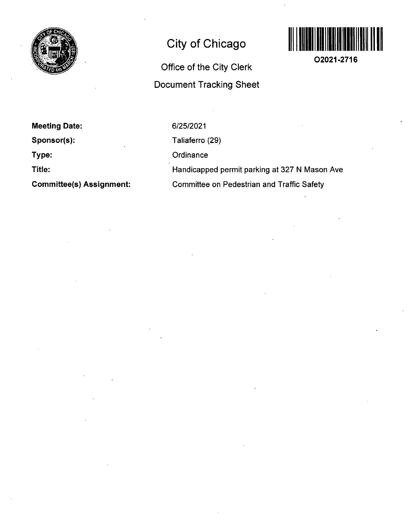

# **City of Chicago**

# **Office of the City Clerk Document Tracking Sheet**



**02021-2716** 

**Meeting Date:** 

**Sponsor(s):** 

**Type:** 

**Title:** 

**Committee(s) Assignment:** 

6/25/2021

Taliaferro (29)

**Ordinance** 

Handicapped permit parking at 327 N Mason Ave Committee on Pedestrian and Traffic Safety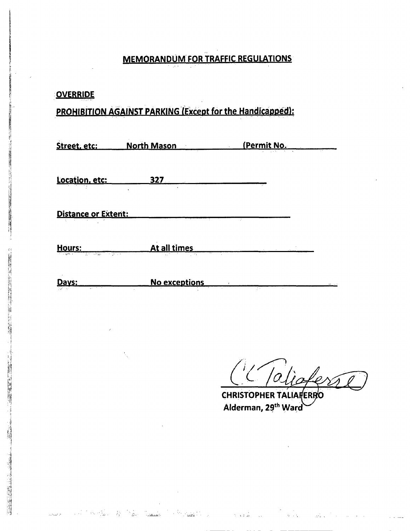#### **MEMORANDUM FOR TRAFFIC REGULATIONS**

#### **OVERRIDE**

**i** 

.<br>افراد میلیون می

### **PROHIBITION AGAINST PARKING (Except for the Handicapped):**

| Street, etc:                                     | <b>North Mason</b><br>$\sim$ 100 $\pm$ | (Permit No.                 |
|--------------------------------------------------|----------------------------------------|-----------------------------|
| Location, etc:                                   | 327<br>$\epsilon$<br>$\epsilon$        |                             |
| Distance or Extent:                              | $\sim$                                 | ÷.                          |
| Hours:<br>the cash of<br>With Smaph<br>an Afrika | At all times<br>1,772                  | <b>Contractor</b><br>$\sim$ |

**No exceptions**  Davs:

in An

ari<br>Tanzania de Santo

950

in Basil

*<sup>m</sup>***L /a** 

**CHRISTOPHER TALIARERRO Alderman, 29\*^ Ward** 

 $\tau \rightarrow \tau \omega$